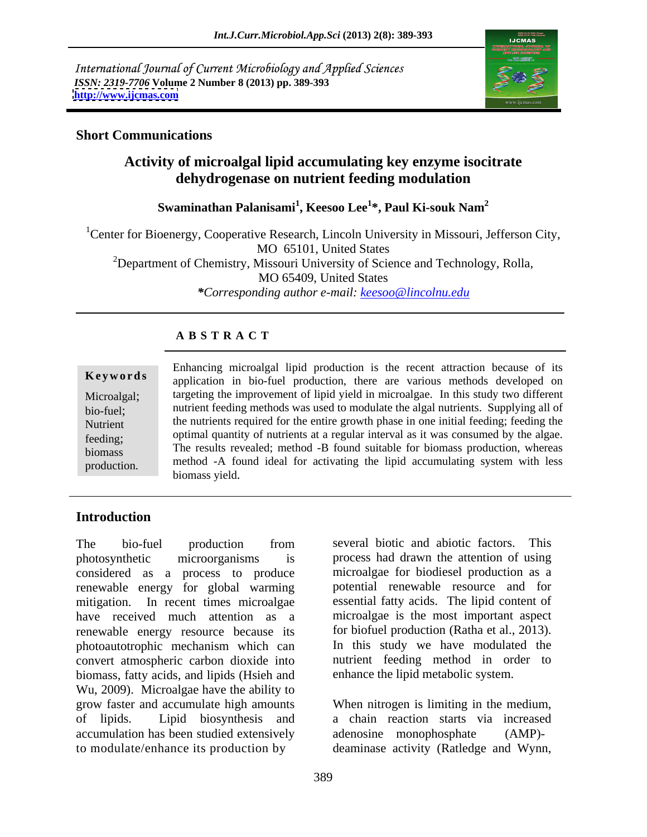International Journal of Current Microbiology and Applied Sciences *ISSN: 2319-7706* **Volume 2 Number 8 (2013) pp. 389-393 <http://www.ijcmas.com>**



## **Short Communications**

# **Activity of microalgal lipid accumulating key enzyme isocitrate dehydrogenase on nutrient feeding modulation**

**Swaminathan Palanisami<sup>1</sup> , Keesoo Lee<sup>1</sup> \*, Paul Ki-souk Nam<sup>2</sup>**

<sup>1</sup>Center for Bioenergy, Cooperative Research, Lincoln University in Missouri, Jefferson City, MO 65101, United States <sup>2</sup>Department of Chemistry, Missouri University of Science and Technology, Rolla, MO 65409, United States *\*Corresponding author e-mail: keesoo@lincolnu.edu*

## **A B S T R A C T**

**Keywords** application in bio-fuel production, there are various methods developed on Microalgal; targeting the improvement of lipid yield in microalgae. In this study two different bio-fuel; nutrient feeding methods was used to modulate the algal nutrients. Supplying all of Nutrient the nutrients required for the entire growth phase in one initial feeding; feeding the feeding; optimal quantity of nutrients at a regular interval as it was consumed by the algae. Figures, The results revealed; method -B found suitable for biomass production, whereas Enhancing microalgal lipid production is the recent attraction because of its<br>
application in bio-fuel production, there are various methods developed on<br>
Microalgal;<br>
bio-fuel;<br>
nutrient feeding methods was used to modula method -A found ideal for activating the lipid accumulating system with less biomass yield.

# **Introduction**

photosynthetic microorganisms is process had drawn the attention of using considered as a process to produce renewable energy for global warming mitigation. In recent times microalgae essential fatty acids. The lipid content of have received much attention as a microalgae is the most important aspect renewable energy resource because its for biofuel production (Ratha et al., 2013).<br>photoautotrophic mechanism which can In this study we have modulated the photoautotrophic mechanism which can convert atmospheric carbon dioxide into biomass, fatty acids, and lipids (Hsieh and Wu, 2009). Microalgae have the ability to grow faster and accumulate high amounts When nitrogen is limiting in the medium, of lipids. Lipid biosynthesis and a chain reaction starts via increased accumulation has been studied extensively adenosine monophosphate (AMP)to modulate/enhance its production by deaminase activity (Ratledge and Wynn,

The bio-fuel production from several biotic and abiotic factors. This several biotic and abiotic factors. This microalgae for biodiesel production as a potential renewable resource and for for biofuel production (Ratha et al., 2013).<br>In this study we have modulated the nutrient feeding method in order to enhance the lipid metabolic system.

adenosine monophosphate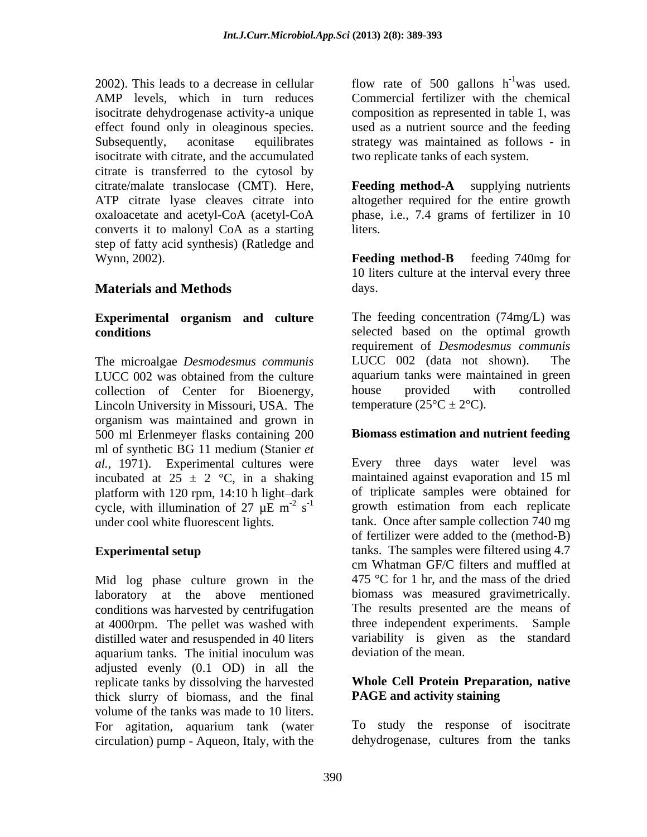2002). This leads to a decrease in cellular  $\qquad$  flow rate of 500 gallons  $h^{-1}$  was used. AMP levels, which in turn reduces Commercial fertilizer with the chemical isocitrate dehydrogenase activity-a unique effect found only in oleaginous species. used as a nutrient source and the feeding Subsequently, aconitase equilibrates strategy was maintained as follows - in isocitrate with citrate, and the accumulated citrate is transferred to the cytosol by citrate/malate translocase (CMT). Here, ATP citrate lyase cleaves citrate into altogether required for the entire growth oxaloacetate and acetyl-CoA (acetyl-CoA converts it to malonyl CoA as a starting step of fatty acid synthesis) (Ratledge and Wynn, 2002). **Feeding method-B** feeding 740mg for

# **Materials and Methods**

# **Experimental organism and culture**

collection of Center for Bioenergy, house provided with controlled Lincoln University in Missouri, USA. The organism was maintained and grown in 500 ml Erlenmeyer flasks containing 200 ml of synthetic BG 11 medium (Stanier *et al.,* 1971). Experimental cultures were incubated at  $25 \pm 2$  °C, in a shaking platform with 120 rpm,  $14:10$  h light-dark

Mid log phase culture grown in the laboratory at the above mentioned conditions was harvested by centrifugation at 4000rpm. The pellet was washed with distilled water and resuspended in 40 liters aquarium tanks. The initial inoculum was adjusted evenly (0.1 OD) in all the replicate tanks by dissolving the harvested thick slurry of biomass, and the final volume of the tanks was made to 10 liters. For agitation, aquarium tank (water To study the response of isocitrate circulation) pump - Aqueon Italy with the dehydrogenese, cultures from the tanks circulation) pump - Aqueon, Italy, with the

 $-1$ <sub>wo</sub> used was used. composition as represented in table 1, was two replicate tanks of each system.

**Feeding method-A** supplying nutrients phase, i.e., 7.4 grams of fertilizer in 10 liters.

**Feeding method-B** feeding 740mg for 10 liters culture at the interval every three days. The contract of the contract of the contract of the contract of the contract of the contract of the contract of the contract of the contract of the contract of the contract of the contract of the contract of the cont

**conditions** selected based on the optimal growth The microalgae *Desmodesmus communis* LUCC 002 was obtained from the culture aquarium tanks were maintained in green The feeding concentration (74mg/L) was requirement of *Desmodesmus communis* LUCC  $002$  (data not shown). aquarium tanks were maintained in green house provided with controlled temperature  $(25^{\circ}C \pm 2^{\circ}C)$ .

## **Biomass estimation and nutrient feeding**

cycle, with illumination of 27  $\mu$ E m<sup>-2</sup> s<sup>-1</sup> growth estimation from each replicate  $s^{-2}$  s<sup>-1</sup> growth estimation from each replicate under cool white fluorescent lights. tank. Once after sample collection 740 mg **Experimental setup tanks.** The samples were filtered using 4.7 Every three days water level was maintained against evaporation and 15 ml of triplicate samples were obtained for of fertilizer were added to the (method-B) cm Whatman GF/C filters and muffled at 475 °C for 1 hr, and the mass of the dried biomass was measured gravimetrically. The results presented are the means of three independent experiments. Sample variability is given as the standard deviation of the mean.

## **Whole Cell Protein Preparation, native PAGE and activity staining**

To study the response of isocitrate dehydrogenase, cultures from the tanks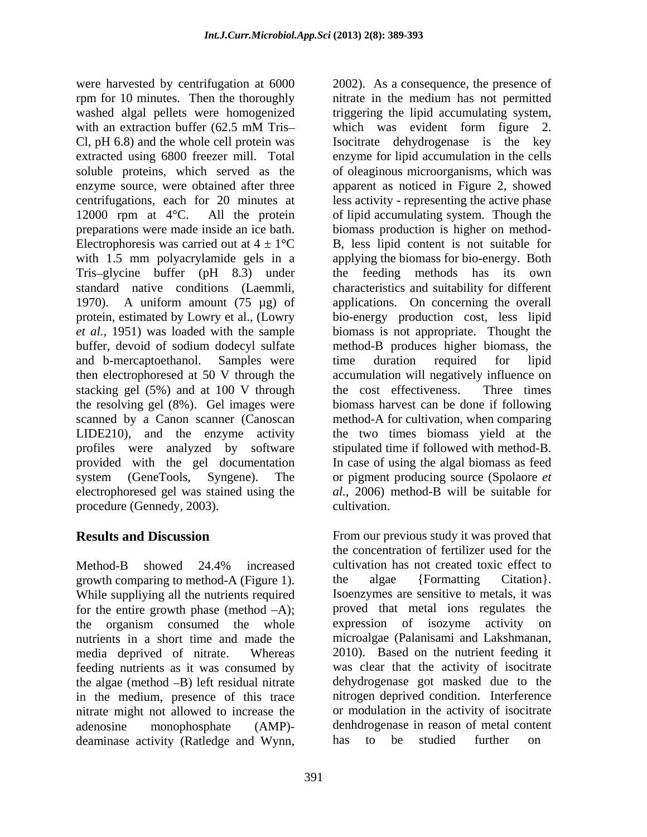were harvested by centrifugation at 6000 2002). As a consequence, the presence of rpm for 10 minutes. Then the thoroughly nitrate in the medium has not permitted washed algal pellets were homogenized with an extraction buffer (62.5 mM Tris-<br>which was evident form figure 2. Cl, pH 6.8) and the whole cell protein was <br>Isocitrate dehydrogenese is the key extracted using 6800 freezer mill. Total enzyme for lipid accumulation in the cells soluble proteins, which served as the of oleaginous microorganisms, which was enzyme source, were obtained after three apparent as noticed in Figure 2, showed centrifugations, each for 20 minutes at less activity - representing the active phase 12000 rpm at 4°C. All the protein of lipid accumulating system. Though the preparations were made inside an ice bath. biomass production is higher on method- Electrophoresis was carried out at  $4 \pm 1$ °C with 1.5 mm polyacrylamide gels in a applying the biomass for bio-energy. Both Tris glycine buffer (pH 8.3) under the feeding methods has its own standard native conditions (Laemmli, characteristics and suitability for different 1970). A uniform amount (75 µg) of applications. On concerning the overall protein, estimated by Lowry et al., (Lowry bio-energy production cost, less lipid *et al.,* 1951) was loaded with the sample biomass is not appropriate. Thought the buffer, devoid of sodium dodecyl sulfate method-B produces higher biomass, the and b-mercaptoethanol. Samples were then electrophoresed at 50 V through the accumulation will negatively influence on stacking gel (5%) and at 100 V through the cost effectiveness. Three times the resolving gel (8%). Gel images were biomass harvest can be done if following scanned by a Canon scanner (Canoscan method-A for cultivation, when comparing LIDE210), and the enzyme activity the two times biomass yield at the profiles were analyzed by software stipulated time if followed with method-B. provided with the gel documentation system (GeneTools, Syngene). The or pigment producing source (Spolaore *et*  electrophoresed gel was stained using the procedure (Gennedy, 2003). cultivation.

Method-B showed 24.4% increased cultivation has not created toxic effect to growth comparing to method-A (Figure 1). <br>
While suppliving all the nutrients required <br>
Isoenzymes are sensitive to metals, it was While suppliying all the nutrients required for the entire growth phase (method  $-A$ ); the organism consumed the whole expression of isozyme activity on nutrients in a short time and made the media deprived of nitrate. Whereas 2010). Based on the nutrient feeding it feeding nutrients as it was consumed by the algae (method  $-B$ ) left residual nitrate in the medium, presence of this trace nitrate might not allowed to increase the adenosine monophosphate (AMP)- denhdrogenase in reason of metal content deaminase activity (Ratledge and Wynn, has to be studied further on

triggering the lipid accumulating system, which was evident form figure 2. Isocitrate dehydrogenase is the key B, less lipid content is not suitable for time duration required for lipid the cost effectiveness. Three times In case of using the algal biomass as feed *al.*, 2006) method-B will be suitable for cultivation.

**Results and Discussion** From our previous study it was proved that the concentration of fertilizer used for the cultivation has not created toxic effect to the algae {Formatting Citation}. Isoenzymes are sensitive to metals, it was proved that metal ions regulates the expression of isozyme activity microalgae (Palanisami and Lakshmanan, was clear that the activity of isocitrate dehydrogenase got masked due to the nitrogen deprived condition. Interference or modulation in the activity of isocitrate studied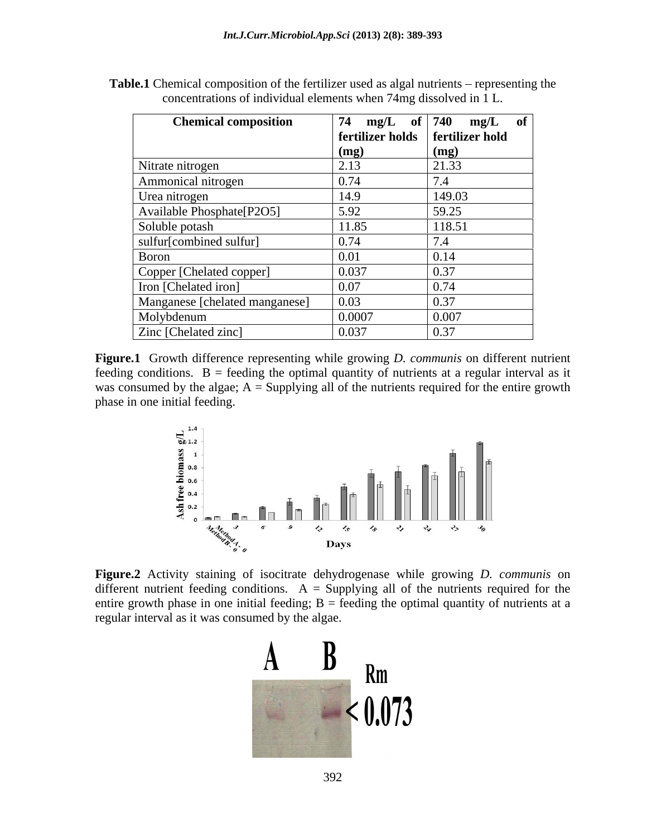| <b>Chemical composition</b>    |        | 74 mg/L of   740 mg/L of           |
|--------------------------------|--------|------------------------------------|
|                                |        | fertilizer holds   fertilizer hold |
|                                | (mg)   | (mg)                               |
| Nitrate nitrogen               |        | 21.33                              |
| Ammonical nitrogen             | 0.74   | 7.4                                |
| Urea nitrogen                  | 14.9   | 149.03                             |
| Available Phosphate[P2O5]      | 5.92   | 59.25                              |
| Soluble potash                 | 11.85  | 118.51                             |
| sulfur[combined sulfur]        | 0.74   | 7 <sub>4</sub><br>$1.4^{\circ}$    |
| Boron                          | 0.01   | 0.14                               |
| Copper [Chelated copper]       | 0.037  | 0.37                               |
| Iron [Chelated iron]           | 0.07   | 0.74                               |
| Manganese [chelated manganese] | 0.03   | 0.37                               |
| Molybdenum                     | 0.0007 | 0.007                              |
| Zinc [Chelated zinc]           | 0.037  | 0.37                               |

**Table.1** Chemical composition of the fertilizer used as algal nutrients – representing the concentrations of individual elements when 74mg dissolved in 1 L.

**Figure.1** Growth difference representing while growing *D. communis*on different nutrient feeding conditions.  $B =$  feeding the optimal quantity of nutrients at a regular interval as it was consumed by the algae;  $A =$  Supplying all of the nutrients required for the entire growth phase in one initial feeding.



 **Figure.2** Activity staining of isocitrate dehydrogenase while growing *D. communis* on different nutrient feeding conditions.  $A =$  Supplying all of the nutrients required for the entire growth phase in one initial feeding;  $B =$  feeding the optimal quantity of nutrients at a regular interval as it was consumed by the algae.